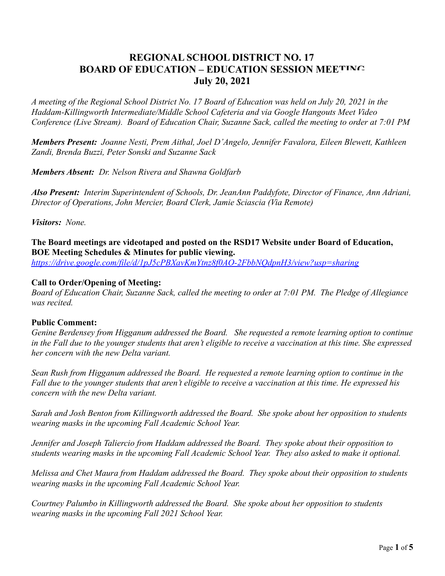# **REGIONAL SCHOOL DISTRICT NO. 17 BOARD OF EDUCATION – EDUCATION SESSION MEETING July 20, 2021**

*A meeting of the Regional School District No. 17 Board of Education was held on July 20, 2021 in the Haddam-Killingworth Intermediate/Middle School Cafeteria and via Google Hangouts Meet Video Conference (Live Stream). Board of Education Chair, Suzanne Sack, called the meeting to order at 7:01 PM*

*Members Present: Joanne Nesti, Prem Aithal, Joel D'Angelo, Jennifer Favalora, Eileen Blewett, Kathleen Zandi, Brenda Buzzi, Peter Sonski and Suzanne Sack*

*Members Absent: Dr. Nelson Rivera and Shawna Goldfarb*

*Also Present: Interim Superintendent of Schools, Dr. JeanAnn Paddyfote, Director of Finance, Ann Adriani, Director of Operations, John Mercier, Board Clerk, Jamie Sciascia (Via Remote)*

*Visitors: None.*

**The Board meetings are videotaped and posted on the RSD17 Website under Board of Education, BOE Meeting Schedules & Minutes for public viewing.**

*<https://drive.google.com/file/d/1pJ5cPBXavKmYtnz8f0AO-2FbbNQdpnH3/view?usp=sharing>*

#### **Call to Order/Opening of Meeting:**

*Board of Education Chair, Suzanne Sack, called the meeting to order at 7:01 PM. The Pledge of Allegiance was recited.*

#### **Public Comment:**

*Genine Berdensey from Higganum addressed the Board. She requested a remote learning option to continue in the Fall due to the younger students that aren't eligible to receive a vaccination at this time. She expressed her concern with the new Delta variant.*

*Sean Rush from Higganum addressed the Board. He requested a remote learning option to continue in the Fall due to the younger students that aren't eligible to receive a vaccination at this time. He expressed his concern with the new Delta variant.*

*Sarah and Josh Benton from Killingworth addressed the Board. She spoke about her opposition to students wearing masks in the upcoming Fall Academic School Year.*

*Jennifer and Joseph Taliercio from Haddam addressed the Board. They spoke about their opposition to students wearing masks in the upcoming Fall Academic School Year. They also asked to make it optional.*

*Melissa and Chet Maura from Haddam addressed the Board. They spoke about their opposition to students wearing masks in the upcoming Fall Academic School Year.*

*Courtney Palumbo in Killingworth addressed the Board. She spoke about her opposition to students wearing masks in the upcoming Fall 2021 School Year.*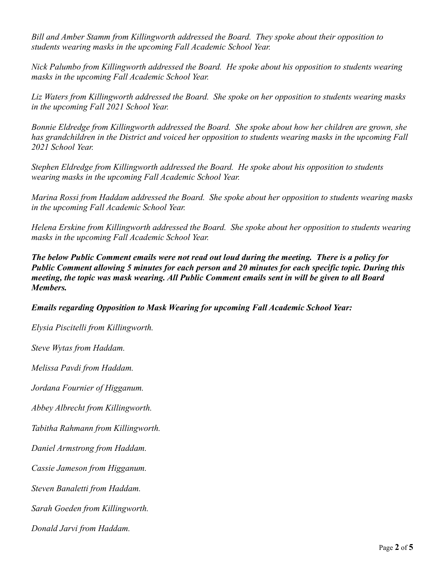*Bill and Amber Stamm from Killingworth addressed the Board. They spoke about their opposition to students wearing masks in the upcoming Fall Academic School Year.*

*Nick Palumbo from Killingworth addressed the Board. He spoke about his opposition to students wearing masks in the upcoming Fall Academic School Year.*

*Liz Waters from Killingworth addressed the Board. She spoke on her opposition to students wearing masks in the upcoming Fall 2021 School Year.*

*Bonnie Eldredge from Killingworth addressed the Board. She spoke about how her children are grown, she has grandchildren in the District and voiced her opposition to students wearing masks in the upcoming Fall 2021 School Year.*

*Stephen Eldredge from Killingworth addressed the Board. He spoke about his opposition to students wearing masks in the upcoming Fall Academic School Year.*

*Marina Rossi from Haddam addressed the Board. She spoke about her opposition to students wearing masks in the upcoming Fall Academic School Year.*

*Helena Erskine from Killingworth addressed the Board. She spoke about her opposition to students wearing masks in the upcoming Fall Academic School Year.*

*The below Public Comment emails were not read out loud during the meeting. There is a policy for Public Comment allowing 5 minutes for each person and 20 minutes for each specific topic. During this meeting, the topic was mask wearing. All Public Comment emails sent in will be given to all Board Members.*

## *Emails regarding Opposition to Mask Wearing for upcoming Fall Academic School Year:*

*Elysia Piscitelli from Killingworth.*

*Steve Wytas from Haddam.*

*Melissa Pavdi from Haddam.*

*Jordana Fournier of Higganum.*

*Abbey Albrecht from Killingworth.*

*Tabitha Rahmann from Killingworth.*

*Daniel Armstrong from Haddam.*

*Cassie Jameson from Higganum.*

*Steven Banaletti from Haddam.*

*Sarah Goeden from Killingworth.*

*Donald Jarvi from Haddam.*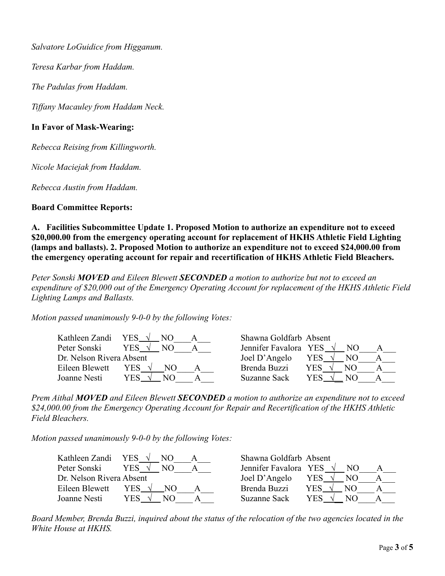*Salvatore LoGuidice from Higganum.*

*Teresa Karbar from Haddam.*

*The Padulas from Haddam.*

*Tiffany Macauley from Haddam Neck.*

## **In Favor of Mask-Wearing:**

*Rebecca Reising from Killingworth.*

*Nicole Maciejak from Haddam.*

*Rebecca Austin from Haddam.*

## **Board Committee Reports:**

**A. Facilities Subcommittee Update 1. Proposed Motion to authorize an expenditure not to exceed \$20,000.00 from the emergency operating account for replacement of HKHS Athletic Field Lighting (lamps and ballasts). 2. Proposed Motion to authorize an expenditure not to exceed \$24,000.00 from the emergency operating account for repair and recertification of HKHS Athletic Field Bleachers.**

*Peter Sonski MOVED and Eileen Blewett SECONDED a motion to authorize but not to exceed an expenditure of \$20,000 out of the Emergency Operating Account for replacement of the HKHS Athletic Field Lighting Lamps and Ballasts.*

*Motion passed unanimously 9-0-0 by the following Votes:*

| Kathleen Zandi           | YES $\sqrt{ }$<br>NO. | Shawna Goldfarb Absent |             |  |
|--------------------------|-----------------------|------------------------|-------------|--|
| Peter Sonski             | YES .                 | Jennifer Favalora YES  | NO.         |  |
| Dr. Nelson Rivera Absent |                       | Joel D'Angelo          | YES<br>NO.  |  |
| Eileen Blewett           | YES.<br>NΩ            | Brenda Buzzi           | YES.<br>NO. |  |
| Joanne Nesti             | YES.<br>NO            | Suzanne Sack           | YES.<br>NO. |  |

*Prem Aithal MOVED and Eileen Blewett SECONDED a motion to authorize an expenditure not to exceed \$24,000.00 from the Emergency Operating Account for Repair and Recertification of the HKHS Athletic Field Bleachers.*

*Motion passed unanimously 9-0-0 by the following Votes:*

| Kathleen Zandi           | YES .<br>NO.          | Shawna Goldfarb Absent        |
|--------------------------|-----------------------|-------------------------------|
| Peter Sonski             | YES .<br>NO           | Jennifer Favalora YES<br>NO.  |
| Dr. Nelson Rivera Absent |                       | Joel D'Angelo<br>YES √<br>NO. |
| Eileen Blewett           | YES $\sqrt{ }$<br>NO. | Brenda Buzzi<br>YES.<br>NO.   |
| Joanne Nesti             | YES                   | Suzanne Sack<br>YES<br>NΩ     |

*Board Member, Brenda Buzzi, inquired about the status of the relocation of the two agencies located in the White House at HKHS.*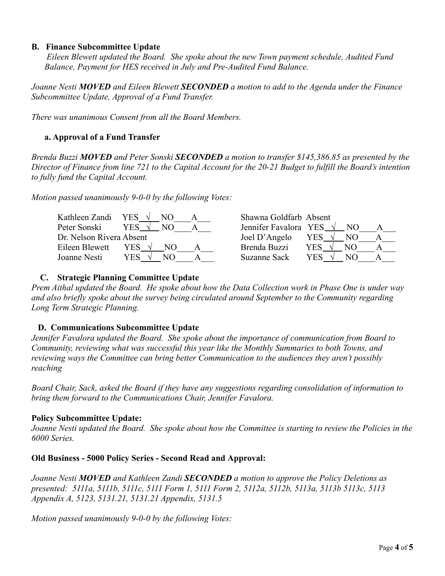#### **B. Finance Subcommittee Update**

*Eileen Blewett updated the Board. She spoke about the new Town payment schedule, Audited Fund Balance, Payment for HES received in July and Pre-Audited Fund Balance.*

*Joanne Nesti MOVED and Eileen Blewett SECONDED a motion to add to the Agenda under the Finance Subcommittee Update, Approval of a Fund Transfer.*

*There was unanimous Consent from all the Board Members.*

# **a. Approval of a Fund Transfer**

*Brenda Buzzi MOVED and Peter Sonski SECONDED a motion to transfer \$145,386.85 as presented by the Director of Finance from line 721 to the Capital Account for the 20-21 Budget to fulfill the Board's intention to fully fund the Capital Account.*

*Motion passed unanimously 9-0-0 by the following Votes:*

| Kathleen Zandi           | YES<br>NΩ   | Shawna Goldfarb Absent          |             |  |
|--------------------------|-------------|---------------------------------|-------------|--|
| Peter Sonski             | YES .<br>NΟ | Jennifer Favalora YES $\sqrt{}$ | NO.         |  |
| Dr. Nelson Rivera Absent |             | Joel D'Angelo                   | YES.<br>NO. |  |
| Eileen Blewett           | YES.<br>NО  | Brenda Buzzi                    | YES.<br>N() |  |
| Joanne Nesti             | YES         | Suzanne Sack                    | YES<br>NΩ   |  |

## **C. Strategic Planning Committee Update**

*Prem Aithal updated the Board. He spoke about how the Data Collection work in Phase One is under way and also briefly spoke about the survey being circulated around September to the Community regarding Long Term Strategic Planning.*

## **D. Communications Subcommittee Update**

*Jennifer Favalora updated the Board. She spoke about the importance of communication from Board to Community, reviewing what was successful this year like the Monthly Summaries to both Towns, and reviewing ways the Committee can bring better Communication to the audiences they aren't possibly reaching*

*Board Chair, Sack, asked the Board if they have any suggestions regarding consolidation of information to bring them forward to the Communications Chair, Jennifer Favalora.*

## **Policy Subcommittee Update:**

*Joanne Nesti updated the Board. She spoke about how the Committee is starting to review the Policies in the 6000 Series.*

## **Old Business - 5000 Policy Series - Second Read and Approval:**

*Joanne Nesti MOVED and Kathleen Zandi SECONDED a motion to approve the Policy Deletions as presented: 5111a, 5111b, 5111c, 5111 Form 1, 5111 Form 2, 5112a, 5112b, 5113a, 5113b 5113c, 5113 Appendix A, 5123, 5131.21, 5131.21 Appendix, 5131.5*

*Motion passed unanimously 9-0-0 by the following Votes:*